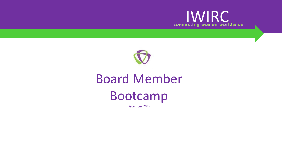



# Board Member Bootcamp

December 2019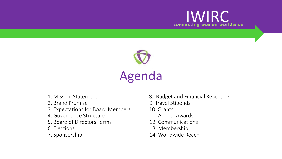



- 
- 
- 3. Expectations for Board Members 10. Grants
- 4. Governance Structure 11. Annual Awards
- 5. Board of Directors Terms 12. Communications
- 
- 
- 1. Mission Statement 8. Budget and Financial Reporting
- 2. Brand Promise 2. Brand Promise
	-
	-
	-
- 6. Elections 13. Membership
- 7. Sponsorship 14. Worldwide Reach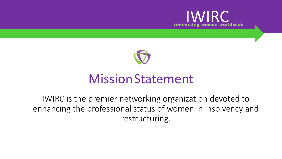



### MissionStatement

IWIRC is the premier networking organization devoted to enhancing the professional status of women in insolvency and restructuring.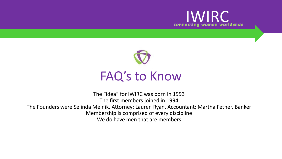



### FAQ's to Know

The "idea" for IWIRC was born in 1993 The first members joined in 1994 The Founders were Selinda Melnik, Attorney; Lauren Ryan, Accountant; Martha Fetner, Banker Membership is comprised of every discipline We do have men that are members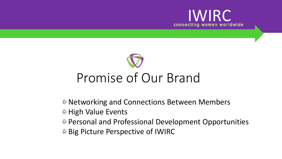



- **Networking and Connections Between Members**
- **B** High Value Events
- Personal and Professional Development Opportunities
- **Big Picture Perspective of IWIRC**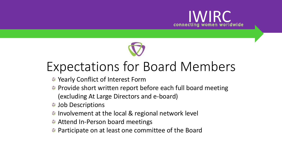



## Expectations for Board Members

- **& Yearly Conflict of Interest Form**
- **Provide short written report before each full board meeting** (excluding At Large Directors and e-board)
- **S** Job Descriptions
- **B** Involvement at the local & regional network level
- **Attend In-Person board meetings**
- **Participate on at least one committee of the Board**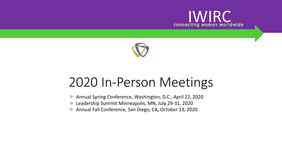



### 2020 In-Person Meetings

- Annual Spring Conference, Washington, D.C., April 22, 2020  $\bigcirc$
- Leadership Summit Minneapolis, MN, July 29-31, 2020  $\bigcirc$
- Annual Fall Conference, San Diego, CA, October 13, 2020 $\circledcirc$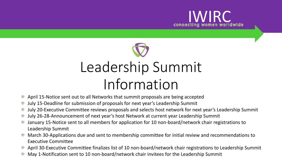



- April 15-Notice sent out to all Networks that summit proposals are being accepted  $\bigcirc$
- July 15-Deadline for submission of proposals for next year's Leadership Summit  $\circledcirc$
- July 20-Executive Committee reviews proposals and selects host network for next year's Leadership Summit O
- July 26-28-Announcement of next year's host Network at current year Leadership Summit  $\bigcirc$
- January 15-Notice sent to all members for application for 10 non-board/network chair registrations to  $\bigcirc$ Leadership Summit
- March 30-Applications due and sent to membership committee for initial review and recommendations to Executive Committee
- April 30-Executive Committee finalizes list of 10 non-board/network chair registrations to Leadership Summit
- May 1-Notification sent to 10 non-board/network chair invitees for the Leadership Summit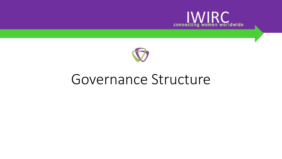



### Governance Structure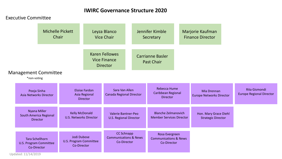#### **IWIRC Governance Structure 2020**

#### Executive Committee

|                                                                        | <b>Michelle Pickett</b><br>Chair |                                                          | Leyza Blanco<br><b>Vice Chair</b>                                                                                                   |                                            | Jennifer Kimble<br>Secretary                         |  |                                                                   |  | Marjorie Kaufman<br><b>Finance Director</b>        |                                                         |
|------------------------------------------------------------------------|----------------------------------|----------------------------------------------------------|-------------------------------------------------------------------------------------------------------------------------------------|--------------------------------------------|------------------------------------------------------|--|-------------------------------------------------------------------|--|----------------------------------------------------|---------------------------------------------------------|
| <b>Management Committee</b><br>*non-voting                             |                                  |                                                          | <b>Karen Fellowes</b><br><b>Vice Finance</b><br><b>Director</b>                                                                     |                                            |                                                      |  | <b>Carrianne Basler</b><br><b>Past Chair</b>                      |  |                                                    |                                                         |
| Pooja Sinha<br>Asia Networks Director                                  |                                  | <b>Eloise Fardon</b><br>Asia Regional<br><b>Director</b> |                                                                                                                                     | Sara Van Allen<br>Canada Regional Director |                                                      |  | Rebecca Hume<br>Caribbean Regional<br><b>Director</b>             |  | Mia Drennan<br><b>Europe Networks Director</b>     | <b>Rita Gismondi</b><br><b>Europe Regional Director</b> |
| <b>Nyana Miller</b><br>South America Regional                          | <b>Director</b>                  |                                                          | <b>Kelly McDonald</b><br><b>U.S. Networks Director</b>                                                                              |                                            | Valerie Bantner-Peo<br><b>U.S. Regional Director</b> |  | <b>Blanche Zelmanovich</b><br><b>Member Services Director</b>     |  | Hon. Mary Grace Diehl<br><b>Strategic Director</b> |                                                         |
| <b>Tara Schellhorn</b><br><b>U.S. Program Committee</b><br>Co-Director |                                  |                                                          | <b>CC Schnapp</b><br>Jodi Dubose<br><b>Communications &amp; News</b><br><b>U.S. Program Committee</b><br>Co-Director<br>Co-Director |                                            |                                                      |  | Rosa Evergreen<br><b>Communications &amp; News</b><br>Co-Director |  |                                                    |                                                         |

Updated: 11/14/2019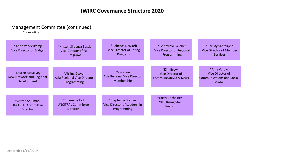#### Management Committee (continued)

\*non-voting

| *Anne Vanderkamp<br>Vice Director of Budget                 | *Kristen Siracusa Eustis<br><b>Vice Director of Fall</b><br>Programs | *Rebecca DeMarb<br>Vice Director of Spring<br>Programs          | *Genevieve Wiener<br>Vice Director of Regional<br>Programming      | *Chrissy Sanfelippo<br><b>Vice Director of Member</b><br>Services            |
|-------------------------------------------------------------|----------------------------------------------------------------------|-----------------------------------------------------------------|--------------------------------------------------------------------|------------------------------------------------------------------------------|
| *Lauren McKelvey<br>New Network and Regional<br>Development | *Aisling Dwyer<br>Asia Regional Vice Director<br>Programming         | *Stuti Jain<br>Asia Regional Vice Director<br>Membership        | *Kim Brown<br>Vice Director of<br><b>Communications &amp; News</b> | *Amy Vulpio<br>Vice Director of<br><b>Communications and Social</b><br>Media |
| *Carren Shulman<br><b>UNCITRAL Committee</b><br>Director    | *Tinamarie Feil<br><b>UNCITRAL Committee</b><br><b>Director</b>      | *Stephanie Bramer<br>Vice Director of Leadership<br>Programming | *Lacey Rochester<br>2019 Rising Star<br><b>Finalist</b>            |                                                                              |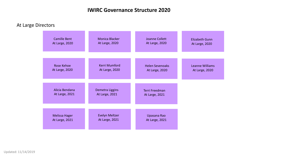#### **IWIRC Governance Structure 2020**

At Large Directors

| <b>Camille Bent</b>  | Monica Blacker        | Joanne Collett         | <b>Elizabeth Gunn</b> |
|----------------------|-----------------------|------------------------|-----------------------|
| At Large, 2020       | At Large, 2020        | At Large, 2020         | At Large, 2020        |
|                      |                       |                        |                       |
| Rose Kehoe           | Kerri Mumford         | <b>Helen Sevenoaks</b> | Leanne Williams       |
| At Large, 2020       | At Large, 2020        | At Large, 2020         | At Large, 2020        |
|                      |                       |                        |                       |
| Alicia Bendana       | Demetra Liggins       | Terri Freedman         |                       |
| At Large, 2021       | At Large, 2021        | At Large, 2021         |                       |
|                      |                       |                        |                       |
| <b>Melissa Hager</b> | <b>Evelyn Meltzer</b> | Upasana Rao            |                       |
| At Large, 2021       | At Large, 2021        | At Large, 2021         |                       |

Updated: 11/14/2019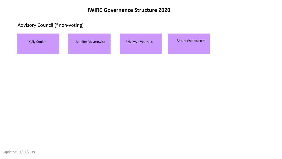#### **IWIRC Governance Structure 2020**

#### Advisory Council (\*non-voting)

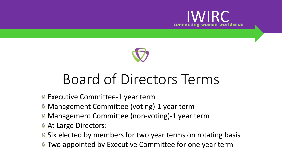



# Board of Directors Terms

- **Executive Committee-1 year term**
- **Management Committee (voting)-1 year term**
- **Management Committee (non-voting)-1 year term**
- **At Large Directors:**
- **Six elected by members for two year terms on rotating basis**
- **Two appointed by Executive Committee for one year term**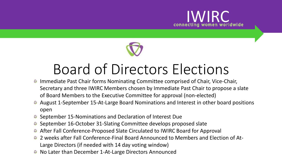



# Board of Directors Elections

- Immediate Past Chair forms Nominating Committee comprised of Chair, Vice-Chair, Secretary and three IWIRC Members chosen by Immediate Past Chair to propose a slate of Board Members to the Executive Committee for approval (non-elected)
- August 1-September 15-At-Large Board Nominations and Interest in other board positions open
- September 15-Nominations and Declaration of Interest Due
- September 16-October 31-Slating Committee develops proposed slate
- After Fall Conference-Proposed Slate Circulated to IWIRC Board for Approval
- 2 weeks after Fall Conference-Final Board Announced to Members and Election of At-Large Directors (if needed with 14 day voting window)
- No Later than December 1-At-Large Directors Announced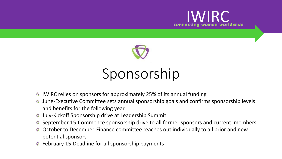



# Sponsorship

- IWIRC relies on sponsors for approximately 25% of its annual funding  $\circledcirc$
- June-Executive Committee sets annual sponsorship goals and confirms sponsorship levels  $\circledcirc$ and benefits for the following year
- July-Kickoff Sponsorship drive at Leadership Summit
- **■** September 15-Commence sponsorship drive to all former sponsors and current members
- October to December-Finance committee reaches out individually to all prior and new potential sponsors
- **■** February 15-Deadline for all sponsorship payments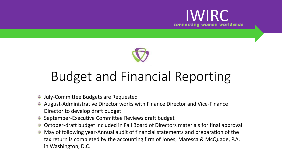



## Budget and Financial Reporting

- July-Committee Budgets are Requested  $\circledcirc$
- August-Administrative Director works with Finance Director and Vice-Finance Director to develop draft budget
- September-Executive Committee Reviews draft budget
- October-draft budget included in Fall Board of Directors materials for final approval  $\circledcirc$
- May of following year-Annual audit of financial statements and preparation of the  $\circledcirc$ tax return is completed by the accounting firm of Jones, Maresca & McQuade, P.A. in Washington, D.C.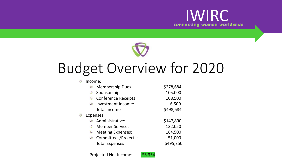



# Budget Overview for 2020

#### Income:

| $\circledcirc$ | <b>Membership Dues:</b>    | \$278,684 |
|----------------|----------------------------|-----------|
| $\circledcirc$ | Sponsorships:              | 105,000   |
| $\circledcirc$ | <b>Conference Receipts</b> | 108,500   |
| $\circledcirc$ | Investment Income:         | 6,500     |
|                | <b>Total Income</b>        | \$498,684 |
|                | Expenses:                  |           |
| $\circledcirc$ | Administrative:            | \$147,800 |
| $\circledcirc$ | <b>Member Services:</b>    | 132,050   |
| $\circledcirc$ | <b>Meeting Expenses:</b>   | 164,500   |
| $\circledcirc$ | Committees/Projects:       | 51,000    |
|                | <b>Total Expenses</b>      | \$495,350 |

Projected Net Income: \$3,334

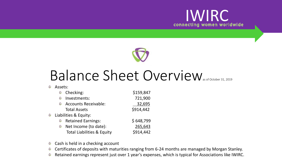



## Balance Sheet Overview

**&** Assets:

|                | Checking:                             | \$159,847 |
|----------------|---------------------------------------|-----------|
| $\circledcirc$ | Investments:                          | 721,900   |
| $\circledcirc$ | <b>Accounts Receivable:</b>           | 32,695    |
|                | <b>Total Assets</b>                   | \$914,442 |
|                | Liabilities & Equity:                 |           |
| $\circledcirc$ | <b>Retained Earnings:</b>             | \$648,799 |
| $\circledcirc$ | Net Income (to date):                 | 265,643   |
|                | <b>Total Liabilities &amp; Equity</b> | \$914,442 |

- Cash is held in a checking account  $\circledcirc$
- Certificates of deposits with maturities ranging from 6-24 months are managed by Morgan Stanley.  $\circledcirc$
- Retained earnings represent just over 1 year's expenses, which is typical for Associations like IWIRC. $\circledcirc$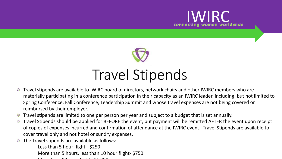



## Travel Stipends

- Travel stipends are available to IWIRC board of directors, network chairs and other IWIRC members who are  $\circledcirc$ materially participating in a conference participation in their capacity as an IWIRC leader, including, but not limited to Spring Conference, Fall Conference, Leadership Summit and whose travel expenses are not being covered or reimbursed by their employer.
- Travel stipends are limited to one per person per year and subject to a budget that is set annually.  $\circledcirc$
- Travel Stipends should be applied for BEFORE the event, but payment will be remitted AFTER the event upon receipt  $\circledcirc$ of copies of expenses incurred and confirmation of attendance at the IWIRC event. Travel Stipends are available to cover travel only and not hotel or sundry expenses.
- The Travel stipends are available as follows:  $\circledcirc$ 
	- Less than 5 hour flight \$250 More than 5 hours, less than 10 hour flight- \$750  $\mathbf{M}$   $\mathbf{A}$   $\mathbf{A}$   $\mathbf{A}$   $\mathbf{A}$   $\mathbf{A}$   $\mathbf{A}$   $\mathbf{A}$   $\mathbf{A}$   $\mathbf{A}$   $\mathbf{A}$   $\mathbf{A}$   $\mathbf{A}$   $\mathbf{A}$   $\mathbf{A}$   $\mathbf{A}$   $\mathbf{A}$   $\mathbf{A}$   $\mathbf{A}$   $\mathbf{A}$   $\mathbf{A}$   $\mathbf{A}$   $\mathbf{A}$   $\mathbf{A}$   $\mathbf{$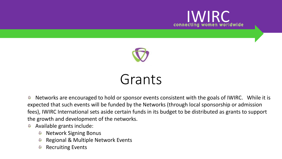



## Grants

Networks are encouraged to hold or sponsor events consistent with the goals of IWIRC. While it is  $\circledcirc$ expected that such events will be funded by the Networks (through local sponsorship or admission fees), IWIRC International sets aside certain funds in its budget to be distributed as grants to support the growth and development of the networks.

- Available grants include:  $\circledcirc$ 
	- Network Signing Bonus  $\circledcirc$
	- Regional & Multiple Network Events
	- Recruiting Events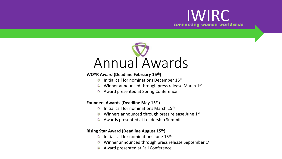



#### **WOYR Award (Deadline February 15th)**

- $\odot$  Initial call for nominations December 15<sup>th</sup>
- Winner announced through press release March 1<sup>st</sup>
- Award presented at Spring Conference  $\circledcirc$

#### **Founders Awards (Deadline May 15th)**

- Initial call for nominations March 15th  $\circledcirc$
- Winners announced through press release June 1st  $\bigcirc$
- Awards presented at Leadership Summit  $\circledcirc$

#### **Rising Star Award (Deadline August 15th)**

- Initial call for nominations June 15th  $\circledcirc$
- Winner announced through press release September 1st
- Award presented at Fall Conference $\circledcirc$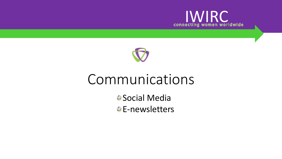



## Communications

**<sup>●</sup>Social Media BE-newsletters**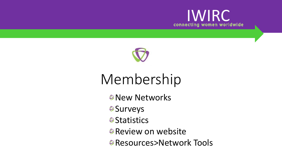



# Membership

- *<sup>©</sup>New Networks*
- **Surveys**
- *Statistics*
- **Review on website**
- **<sup>●</sup>Resources>Network Tools**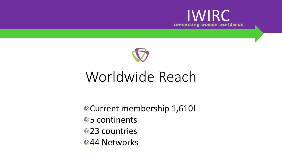



## Worldwide Reach

Current membership 1,610!

- **<sup>●</sup>5** continents
- **●23 countries**
- **844 Networks**